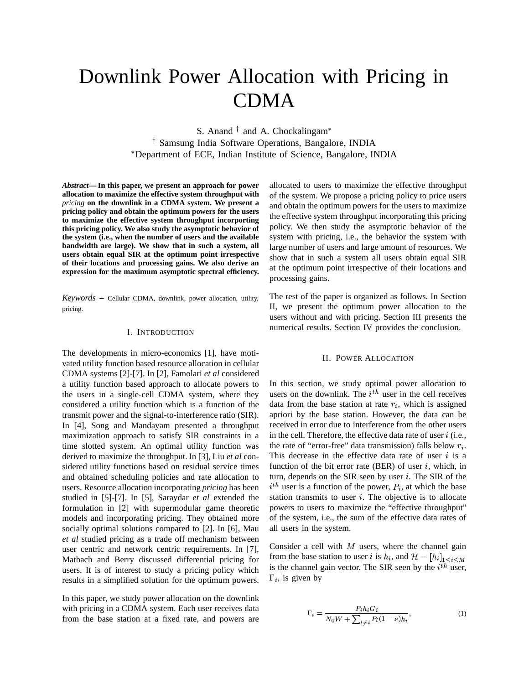# Downlink Power Allocation with Pricing in CDMA

S. Anand  $\dagger$  and A. Chockalingam\* Samsung India Software Operations, Bangalore, INDIA Department of ECE, Indian Institute of Science, Bangalore, INDIA

*Abstract***— In this paper, we present an approach for power allocation to maximize the effective system throughput with** *pricing* **on the downlink in a CDMA system. We present a pricing policy and obtain the optimum powers for the users to maximize the effective system throughput incorporting this pricing policy. We also study the asymptotic behavior of the system (i.e., when the number of users and the available bandwidth are large). We show that in such a system, all users obtain equal SIR at the optimum point irrespective of their locations and processing gains. We also derive an expression for the maximum asymptotic spectral efficiency.**

*Keywords* – Cellular CDMA, downlink, power allocation, utility, pricing.

### I. INTRODUCTION

The developments in micro-economics [1], have motivated utility function based resource allocation in cellular CDMA systems [2]-[7]. In [2], Famolari *et al* considered a utility function based approach to allocate powers to the users in a single-cell CDMA system, where they considered a utility function which is a function of the transmit power and the signal-to-interference ratio (SIR). In [4], Song and Mandayam presented a throughput maximization approach to satisfy SIR constraints in a time slotted system. An optimal utility function was derived to maximize the throughput. In [3], Liu *et al* considered utility functions based on residual service times and obtained scheduling policies and rate allocation to users. Resource allocation incorporating *pricing* has been studied in [5]-[7]. In [5], Saraydar *et al* extended the formulation in [2] with supermodular game theoretic models and incorporating pricing. They obtained more socially optimal solutions compared to [2]. In [6], Mau *et al* studied pricing as a trade off mechanism between user centric and network centric requirements. In [7], Matbach and Berry discussed differential pricing for users. It is of interest to study a pricing policy which results in a simplified solution for the optimum powers.

In this paper, we study power allocation on the downlink with pricing in a CDMA system. Each user receives data from the base station at a fixed rate, and powers are

allocated to users to maximize the effective throughput of the system. We propose a pricing policy to price users and obtain the optimum powers for the users to maximize the effective system throughput incorporating this pricing policy. We then study the asymptotic behavior of the system with pricing, i.e., the behavior the system with large number of users and large amount of resources. We show that in such a system all users obtain equal SIR at the optimum point irrespective of their locations and processing gains.

The rest of the paper is organized as follows. In Section II, we present the optimum power allocation to the users without and with pricing. Section III presents the numerical results. Section IV provides the conclusion.

## II. POWER ALLOCATION

In this section, we study optimal power allocation to users on the downlink. The  $i<sup>th</sup>$  user in the cell receives data from the base station at rate  $r_i$ , which is assigned apriori by the base station. However, the data can be received in error due to interference from the other users in the cell. Therefore, the effective data rate of user  $i$  (i.e., the rate of "error-free" data transmission) falls below  $r_i$ . This decrease in the effective data rate of user  $i$  is a function of the bit error rate (BER) of user  $i$ , which, in turn, depends on the SIR seen by user  $i$ . The SIR of the  $i<sup>th</sup>$  user is a function of the power,  $P_i$ , at which the base station transmits to user  $i$ . The objective is to allocate powers to users to maximize the "effective throughput" of the system, i.e., the sum of the effective data rates of all users in the system.

Consider a cell with  $M$  users, where the channel gain from the base station to user i is  $h_i$ , and  $\mathcal{H} = [h_i]_{1 \leq i \leq M}$ is the channel gain vector. The SIR seen by the  $i^{th}$  user,  $\Gamma_i$ , is given by

$$
\Gamma_i = \frac{P_i h_i G_i}{N_0 W + \sum_{l \neq i} P_l (1 - \nu) h_i},\tag{1}
$$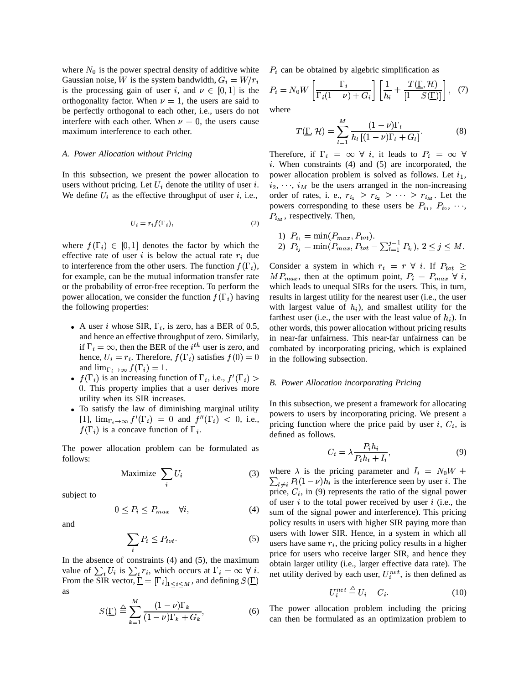where  $N_0$  is the power spectral density of additive white Gaussian noise, W is the system bandwidth,  $G_i = W/r_i$ is the processing gain of user i, and  $\nu \in [0,1]$  is the orthogonality factor. When  $\nu = 1$ , the users are said to be perfectly orthogonal to each other, i.e., users do not interfere with each other. When  $\nu = 0$ , the users cause maximum interference to each other.

## *A. Power Allocation without Pricing*

In this subsection, we present the power allocation to users without pricing. Let  $U_i$  denote the utility of user i. We define  $U_i$  as the effective throughput of user i, i.e.,

$$
U_i = r_i f(\Gamma_i),\tag{2}
$$

where  $f(\Gamma_i) \in [0,1]$  denotes the factor by which the effective rate of user i is below the actual rate  $r_i$  due to interference from the other users. The function  $f(\Gamma_i)$ , Consid for example, can be the mutual information transfer rate or the probability of error-free reception. To perform the power allocation, we consider the function  $f(\Gamma_i)$  having the following properties:

- A user i whose SIR,  $\Gamma_i$ , is zero, has a BER of 0.5, and hence an effective throughput of zero. Similarly, if  $\Gamma_i = \infty$ , then the BER of the *i*<sup>th</sup> user is zero, and hence,  $U_i = r_i$ . Therefore,  $f(\Gamma_i)$  satisfies  $f(0) = 0$  in the and  $\lim_{\Gamma_i \to \infty} f(\Gamma_i) = 1.$
- $f(\Gamma_i)$  is an increasing function of  $\Gamma_i$ , i.e.,  $f'(\Gamma_i) > \Gamma_{\text{p}}$ . This property implies that a user derives more utility when its SIR increases.
- To satisfy the law of diminishing marginal utility [1],  $\lim_{\Gamma_i \to \infty} f'(\Gamma_i) = 0$  and  $f''(\Gamma_i) < 0$ , i.e.,  $f(\Gamma_i)$  is a concave function of  $\Gamma_i$ .

The power allocation problem can be formulated as follows:

$$
\text{Maximize } \sum_{i} U_i \tag{3} \sum_{i} \sum_{i} U_i
$$

subject to

$$
0 \le P_i \le P_{max} \quad \forall i,
$$
\n<sup>(4)</sup>

and

$$
\sum_{i} P_i \le P_{tot}.\tag{5}
$$

In the absence of constraints (4) and (5), the maximum value of  $\sum_i U_i$  is  $\sum_i r_i$ , which occurs at  $\Gamma_i = \infty$   $\forall i$ . From the SIR vector,  $\underline{\Gamma} = [\Gamma_i]_{1 \leq i \leq M}$ , and defining  $S(\underline{\Gamma})$  $\mathbf{r}$ as

$$
S(\underline{\Gamma}) \stackrel{\triangle}{=} \sum_{k=1}^{M} \frac{(1-\nu)\Gamma_k}{(1-\nu)\Gamma_k + G_k},\tag{6}
$$

 $P_i$  can be obtained by algebric simplification as

$$
P_i = N_0 W \left[ \frac{\Gamma_i}{\Gamma_i (1 - \nu) + G_i} \right] \left[ \frac{1}{h_i} + \frac{T(\underline{\Gamma}, \mathcal{H})}{[1 - S(\underline{\Gamma})]} \right], \tag{7}
$$

where

$$
T(\underline{\Gamma}, \mathcal{H}) = \sum_{l=1}^{M} \frac{(1-\nu)\Gamma_l}{h_l \left[ (1-\nu)\Gamma_l + G_l \right]}.
$$
 (8)

 $i_2, \dots, i_M$  be the users arranged in the non-increasing Therefore, if  $\Gamma_i = \infty$   $\forall$  *i*, it leads to  $P_i = \infty$   $\forall$  $i$ . When constraints (4) and (5) are incorporated, the power allocation problem is solved as follows. Let  $i_1$ , order of rates, i. e.,  $r_{i_1} \geq r_{i_2} \geq \cdots \geq r_{i_M}$ . Let the powers corresponding to these users be  $P_{i_1}, P_{i_2}, \dots$ ,  $P_{i_M}$ , respectively. Then,

1) 
$$
P_{i_1} = \min(P_{max}, P_{tot})
$$
.  
2)  $P_{i_j} = \min(P_{max}, P_{tot} - \sum_{l=1}^{j-1} P_{i_l}), 2 \leq j \leq M$ .

Consider a system in which  $r_i = r \forall i$ . If  $P_{tot} \geq$  $MP_{max}$ , then at the optimum point,  $P_i = P_{max} \ \forall \ i$ , which leads to unequal SIRs for the users. This, in turn, results in largest utility for the nearest user (i.e., the user with largest value of  $h_i$ ), and smallest utility for the farthest user (i.e., the user with the least value of  $h_i$ ). In other words, this power allocation without pricing results in near-far unfairness. This near-far unfairness can be combated by incorporating pricing, which is explained in the following subsection.

## 354 *B. Power Allocation incorporating Pricing*

In this subsection, we present a framework for allocating powers to users by incorporating pricing. We present a pricing function where the price paid by user  $i, C_i$ , is defined as follows.

$$
C_i = \lambda \frac{P_i h_i}{P_i h_i + I_i},\tag{9}
$$

net utility derived by each user,  $U_i^{net}$ , is then defined as where  $\lambda$  is the pricing parameter and  $I_i = N_0 W +$  $\sum_{i \neq i} P_i(1-\nu)h_i$  is the interference seen by user i. The price,  $C_i$ , in (9) represents the ratio of the signal power of user  $i$  to the total power received by user  $i$  (i.e., the sum of the signal power and interference). This pricing policy results in users with higher SIR paying more than users with lower SIR. Hence, in a system in which all users have same  $r_i$ , the pricing policy results in a higher price for users who receive larger SIR, and hence they obtain larger utility (i.e., larger effective data rate). The

$$
U_i^{net} \stackrel{\triangle}{=} U_i - C_i. \tag{10}
$$

The power allocation problem including the pricing can then be formulated as an optimization problem to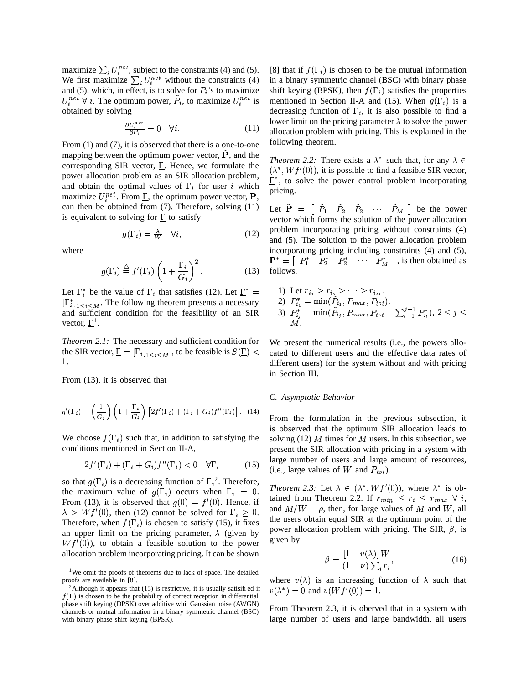maximize  $\sum_i U_i^{net}$ , subject to the constraints (4) and (5). We first maximize  $\sum_{i} U_i^{net}$  without the constraints (4) and (5), which, in effect, is to solve for  $P_i$ 's to maximize  $U_i^{net}$   $\forall$  i. The optimum power,  $\tilde{P}_i$ , to maximize  $U_i^{net}$  is obtained by solving

$$
\frac{\partial U_i^{net}}{\partial P_i} = 0 \quad \forall i. \tag{11}
$$

From (1) and (7), it is observed that there is a one-to-one mapping between the optimum power vector,  $\tilde{P}$ , and the corresponding SIR vector,  $\Sigma$ . Hence, we formulate the power allocation problem as an SIR allocation problem, and obtain the optimal values of  $\Gamma_i$  for user i which maximize  $U_i^{net}$ . From  $\underline{\Gamma}$ , the optimum power vector, **P**, can then be obtained from (7). Therefore, solving (11) is equivalent to solving for  $\Gamma$  to satisfy

$$
g(\Gamma_i) = \frac{\lambda}{W} \quad \forall i,\tag{12}
$$

where

$$
g(\Gamma_i) \stackrel{\triangle}{=} f'(\Gamma_i) \left(1 + \frac{\Gamma_i}{G_i}\right)^2. \tag{13}
$$

Let  $\Gamma_i^*$  be the value of  $\Gamma_i$  that satisfies (12). Let  $\underline{\Gamma}^* = 1$ ) Let  $r_i$  $\left[\Gamma_{i}^{*}\right]_{1 \leq i \leq M}$ . The following theorem presents a necessary and sufficient condition for the feasibility of an SIR vector,  $\underline{\Gamma}^1$ .

*Theorem 2.1:* The necessary and sufficient condition for the SIR vector,  $\underline{\Gamma} = [\Gamma_i]_{1 \leq i \leq M}$ , to be feasible is  $S(\underline{\Gamma}) <$  cated .

From (13), it is observed that

$$
g'(\Gamma_i) = \left(\frac{1}{G_i}\right) \left(1 + \frac{\Gamma_i}{G_i}\right) \left[2f'(\Gamma_i) + (\Gamma_i + G_i)f''(\Gamma_i)\right]. \tag{14}
$$

We choose  $f(\Gamma_i)$  such that, in addition to satisfying the conditions mentioned in Section II-A,

$$
2f'(\Gamma_i) + (\Gamma_i + G_i)f''(\Gamma_i) < 0 \quad \forall \Gamma_i \tag{15}
$$

so that  $g(\Gamma_i)$  is a decreasing function of  $\Gamma_i^2$ . Therefore, the maximum value of  $g(\Gamma_i)$  occurs when  $\Gamma_i = 0$ . From (13), it is observed that  $g(0) = f'(0)$ . Hence, if  $\lambda > W f'(0)$ , then (12) cannot be solved for  $\Gamma_i \geq 0$ . and  $W_i$ Therefore, when  $f(\Gamma_i)$  is chosen to satisfy (15), it fixes an upper limit on the pricing parameter,  $\lambda$  (given by  $Wf'(0)$ , to obtain a feasible solution to the power allocation problem incorporating pricing. It can be shown

[8] that if  $f(\Gamma_i)$  is chosen to be the mutual information in a binary symmetric channel (BSC) with binary phase shift keying (BPSK), then  $f(\Gamma_i)$  satisfies the properties mentioned in Section II-A and (15). When  $g(\Gamma_i)$  is a decreasing function of  $\Gamma_i$ , it is also possible to find a lower limit on the pricing parameter  $\lambda$  to solve the power allocation problem with pricing. This is explained in the following theorem.

*Theorem* 2.2: There exists a  $\lambda^*$  such that, for any  $\lambda \in$  $(\lambda^*, Wf'(0))$ , it is possible to find a feasible SIR vector,  $\Gamma^*$ , to solve the power control problem incorporating pricing.

Let  $\tilde{\mathbf{P}} = \begin{bmatrix} \tilde{P}_1 & \tilde{P}_2 & \tilde{P}_3 & \cdots & \tilde{P}_M \end{bmatrix}$  be the power vector which forms the solution of the power allocation problem incorporating pricing without constraints (4) and (5). The solution to the power allocation problem incorporating pricing including constraints (4) and (5),  $\mathbf{P}^* = \begin{bmatrix} P_1^* & P_2^* & P_3^* & \cdots & P_M^* \end{bmatrix}$ , is then obtained as follows.

1) Let 
$$
r_{i_1} \ge r_{i_2} \ge \cdots \ge r_{i_M}
$$
.  
\n2)  $P_{i_1}^* = \min(\tilde{P}_{i_1}, P_{max}, P_{tot})$ .  
\n3)  $P_{i_j}^* = \min(\tilde{P}_{i_j}, P_{max}, P_{tot} - \sum_{l=1}^{j-1} P_{i_l}^*)$ ,  $2 \le j \le M$ .

 $0 \leq$  cated to different users and the effective data rates of We present the numerical results (i.e., the powers allodifferent users) for the system without and with pricing in Section III.

# *C. Asymptotic Behavior*

From the formulation in the previous subsection, it is observed that the optimum SIR allocation leads to solving (12) M times for M users. In this subsection, we present the SIR allocation with pricing in a system with large number of users and large amount of resources, (i.e., large values of W and  $P_{tot}$ ).

*Theorem 2.3:* Let  $\lambda \in (\lambda^*, Wf'(0))$ , where  $\lambda^*$  is obtained from Theorem 2.2. If  $r_{min} \leq r_i \leq r_{max} \ \forall \ i$ , and  $M/W = \rho$ , then, for large values of M and W, all the users obtain equal SIR at the optimum point of the power allocation problem with pricing. The SIR,  $\beta$ , is given by

$$
\beta = \frac{\left[1 - v(\lambda)\right]W}{\left(1 - \nu\right)\sum_{i} r_{i}},\tag{16}
$$

where  $v(\lambda)$  is an increasing function of  $\lambda$  such that  $v(\lambda^*) = 0$  and  $v(Wf'(0)) = 1$ .

From Theorem 2.3, it is oberved that in a system with large number of users and large bandwidth, all users

<sup>&</sup>lt;sup>1</sup>We omit the proofs of theorems due to lack of space. The detailed proofs are available in [8].

<sup>&</sup>lt;sup>2</sup>Although it appears that  $(15)$  is restrictive, it is usually satisified if  $f(\Gamma)$  is chosen to be the probability of correct reception in differential phase shift keying (DPSK) over additive whit Gaussian noise (AWGN) channels or mutual information in a binary symmetric channel (BSC) with binary phase shift keying (BPSK).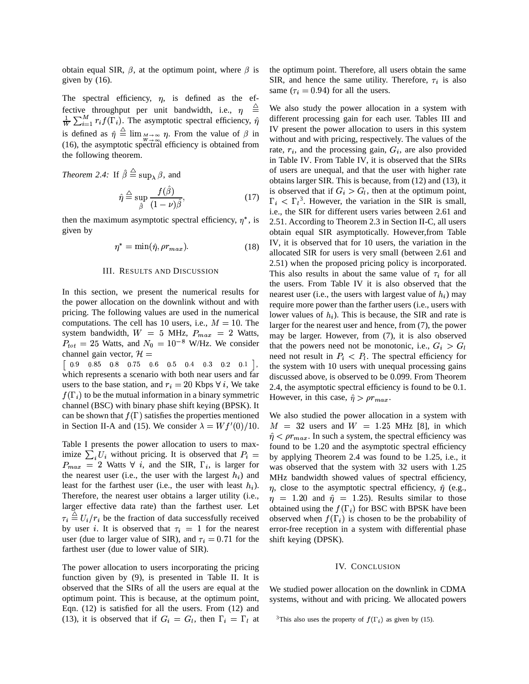obtain equal SIR,  $\beta$ , at the optimum point, where  $\beta$  is given by (16).

The spectral efficiency,  $\eta$ , is defined as the effective throughput per unit bandwidth, i.e.,  $\eta$  $\frac{1}{W} \sum_{i=1}^{M} r_i f(\Gamma_i)$ . The asymptotic spectral efficiency,  $\hat{\eta}$  diff is defined as  $\hat{\eta} \equiv \lim_{\substack{M \to \infty \\ M \to \infty}} \eta$ . From the value of  $\beta$  in  $\frac{1}{N}$  in (16), the asymptotic spectral efficiency is obtained from the following theorem.

*Theorem 2.4:* If  $\beta \equiv \sup_{\lambda} \beta$ , and

$$
\hat{\eta} \stackrel{\triangle}{=} \sup_{\hat{\beta}} \frac{f(\hat{\beta})}{(1-\nu)\hat{\beta}},\tag{17}
$$

then the maximum asymptotic spectral efficiency,  $\eta^*$ , is 2.5 given by

$$
\eta^* = \min(\hat{\eta}, \rho r_{max}). \tag{18}
$$

## III. RESULTS AND DISCUSSION

In this section, we present the numerical results for the power allocation on the downlink without and with pricing. The following values are used in the numerical computations. The cell has 10 users, i.e.,  $M = 10$ . The system bandwidth,  $W = 5$  MHz,  $P_{max} = 2$  Watts,  $W_{max} = 1$  $P_{tot} = 25$  Watts, and  $N_0 = 10^{-8}$  W/Hz. We consider channel gain vector,  $\mathcal{H} =$ 

the contract of the contract of the contract of the contract of the contract of the contract of the contract of  $1, 1$ which represents a scenario with both near users and far users to the base station, and  $r_i = 20$  Kbps  $\forall i$ , We take  $f(\Gamma_i)$  to be the mutual information in a binary symmetric channel (BSC) with binary phase shift keying (BPSK). It can be shown that  $f(\Gamma)$  satisfies the properties mentioned in Section II-A and (15). We consider  $\lambda = W f'(0)/10$ .

Table I presents the power allocation to users to maximize  $\sum_i U_i$  without pricing. It is observed that  $P_{max}$  = 2 Watts  $\forall$  *i*, and the SIR,  $\Gamma_i$ , is larger for the nearest user (i.e., the user with the largest  $h_i$ ) and least for the farthest user (i.e., the user with least  $h_i$ ). Therefore, the nearest user obtains a larger utility (i.e., larger effective data rate) than the farthest user. Let  $\tau_i \equiv U_i/r_i$  be the fraction of data successfully received by user *i*. It is observed that  $\tau_i = 1$  for the nearest user (due to larger value of SIR), and  $\tau_i = 0.71$  for the farthest user (due to lower value of SIR).

The power allocation to users incorporating the pricing function given by (9), is presented in Table II. It is observed that the SIRs of all the users are equal at the optimum point. This is because, at the optimum point, Eqn. (12) is satisfied for all the users. From (12) and (13), it is observed that if  $G_i = G_l$ , then  $\Gamma_i = \Gamma_l$  at <sup>3</sup>Thi

the optimum point. Therefore, all users obtain the same SIR, and hence the same utility. Therefore,  $\tau_i$  is also same ( $\tau_i = 0.94$ ) for all the users.

We also study the power allocation in a system with different processing gain for each user. Tables III and IV present the power allocation to users in this system without and with pricing, respectively. The values of the rate,  $r_i$ , and the processing gain,  $G_i$ , are also provided in Table IV. From Table IV, it is observed that the SIRs of users are unequal, and that the user with higher rate obtains larger SIR. This is because, from (12) and (13), it is observed that if  $G_i > G_l$ , then at the optimum point,  $\Gamma_i < \Gamma_i^3$ . However, the variation in the SIR is small, i.e., the SIR for different users varies between 2.61 and 2.51. According to Theorem 2.3 in Section II-C, all users obtain equal SIR asymptotically. However,from Table IV, it is observed that for 10 users, the variation in the allocated SIR for users is very small (between 2.61 and 2.51) when the proposed pricing policy is incorporated. This also results in about the same value of  $\tau_i$  for all the users. From Table IV it is also observed that the nearest user (i.e., the users with largest value of  $h_i$ ) may require more power than the farther users (i.e., users with lower values of  $h_i$ ). This is because, the SIR and rate is larger for the nearest user and hence, from (7), the power may be larger. However, from (7), it is also observed that the powers need not be monotonic, i.e.,  $G_i > G_l$ need not result in  $P_i \leq P_l$ . The spectral efficiency for the system with 10 users with unequal processing gains discussed above, is observed to be 0.099. From Theorem 2.4, the asymptotic spectral efficiency is found to be 0.1. However, in this case,  $\hat{\eta} > \rho r_{max}$ .

 $P_i =$  by applying Theorem 2.4 was found to be 1.25, i.e., it We also studied the power allocation in a system with  $M = 32$  users and  $W = 1.25$  MHz [8], in which  $\hat{\eta}$  <  $\rho r_{max}$ . In such a system, the spectral efficiency was found to be 1.20 and the asymptotic spectral efficiency was observed that the system with 32 users with 1.25 MHz bandwidth showed values of spectral efficiency,  $\eta$ , close to the asymptotic spectral efficiency,  $\hat{\eta}$  (e.g.,  $\eta = 1.20$  and  $\hat{\eta} = 1.25$ ). Results similar to those obtained using the  $f(\Gamma_i)$  for BSC with BPSK have been observed when  $f(\Gamma_i)$  is chosen to be the probability of error-free reception in a system with differential phase shift keying (DPSK).

#### IV. CONCLUSION

We studied power allocation on the downlink in CDMA systems, without and with pricing. We allocated powers

<sup>&</sup>lt;sup>3</sup>This also uses the property of  $f(\Gamma_i)$  as given by (15).